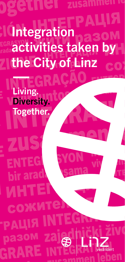**Integration** activities taken by the City of Linz

Living.

bir

**MH** 

COX

РАЦІЯ

Diversity.

Together.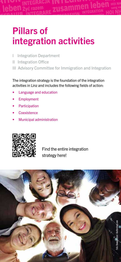## Pillars of integration activities

- I Integration Department
- II Integration Office
- III Advisory Committee for Immigration and Integration

The integration strategy is the foundation of the integration activities in Linz and includes the following fields of action:

- Language and education
- **Employment**
- **Participation**
- **Coexistence**
- Municipal administration



Find the entire integration strategy here!

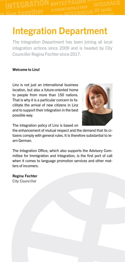### Integration Department

The Integration Department has been joining all local integration actions since 2009 and is headed by City Councillor Regina Fechter since 2017.

#### Welcome to Linz!

Linz is not just an international business location, but also a future-oriented home to people from more than 150 nations. That is why it is a particular concern to facilitate the arrival of new citizens in Linz and to support their integration in the best possible way.



The integration policy of Linz is based on

the enhancement of mutual respect and the demand that its citizens comply with general rules. It is therefore substantial to learn German.

The Integration Office, which also supports the Advisory Committee for Immigration and Integration, is the first port of call when it comes to language promotion services and other matters of incomers.

Regina Fechter City Councillor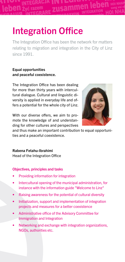## Integration Office

The Integration Office has been the network for matters relating to migration and integration in the City of Linz since 1991.

#### Equal opportunities and peaceful coexistence.

The Integration Office has been dealing for more than thirty years with intercultural dialogue. Cultural and linguistic diversity is applied in everyday life and offers a potential for the whole city of Linz.



With our diverse offers, we aim to promote the knowledge of and understanding for other cultures and perspectives

and thus make an important contribution to equal opportunities and a peaceful coexistence.

#### Rabena Fetahu-Ibrahimi

Head of the Integration Office

#### Objectives, principles and tasks

- Providing information for integration
- Intercultural opening of the municipal administration, for instance with the information guide "Welcome to Linz"
- Raising awareness for the potential of cultural diversity
- Initialization, support and implementation of integration projects and measures for a better coexistence
- Administrative office of the Advisory Committee for Immigration and Integration
- Networking and exchange with integration organizations, NGOs, authorities etc.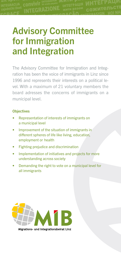## Advisory Committee for Immigration and Integration

The Advisory Committee for Immigration and Integration has been the voice of immigrants in Linz since 1996 and represents their interests on a political level. With a maximum of 21 voluntary members the board adresses the concerns of immigrants on a municipal level.

#### **Objectives**

- Representation of interests of immigrants on a municipal level
- Improvement of the situation of immigrants in different spheres of life like living, education, employment or health
- Fighting prejudice and discrimination
- Implementation of initiatives and projects for more understanding across society
- Demanding the right to vote on a municipal level for all immigrants



Migrations- und Integrationsbeirat Linz